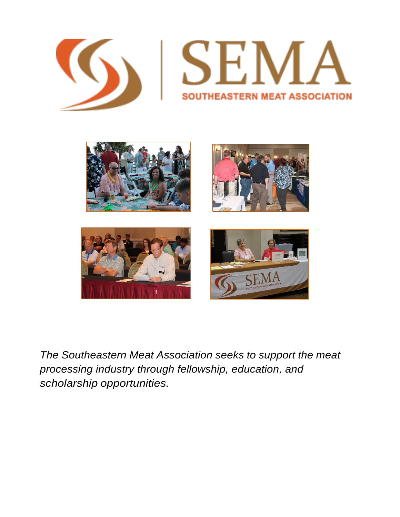



*The Southeastern Meat Association seeks to support the meat processing industry through fellowship, education, and scholarship opportunities.*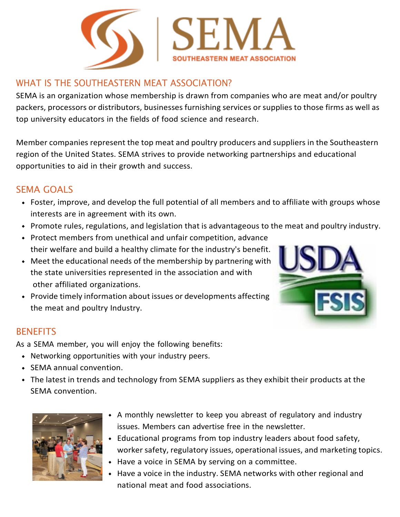

# WHAT IS THE SOUTHEASTERN MEAT ASSOCIATION?

SEMA is an organization whose membership is drawn from companies who are meat and/or poultry packers, processors or distributors, businesses furnishing services or supplies to those firms as well as top university educators in the fields of food science and research.

Member companies represent the top meat and poultry producers and suppliers in the Southeastern region of the United States. SEMA strives to provide networking partnerships and educational opportunities to aid in their growth and success.

## SEMA GOALS

- Foster, improve, and develop the full potential of all members and to affiliate with groups whose interests are in agreement with its own.
- Promote rules, regulations, and legislation that is advantageous to the meat and poultry industry.
- Protect members from unethical and unfair competition, advance their welfare and build a healthy climate for the industry's benefit.
- Meet the educational needs of the membership by partnering with the state universities represented in the association and with other affiliated organizations.
- Provide timely information about issues or developments affecting the meat and poultry Industry.



As a SEMA member, you will enjoy the following benefits:

- Networking opportunities with your industry peers.
- SEMA annual convention.
- The latest in trends and technology from SEMA suppliers as they exhibit their products at the SEMA convention.



- A monthly newsletter to keep you abreast of regulatory and industry issues. Members can advertise free in the newsletter.
- Educational programs from top industry leaders about food safety, worker safety, regulatory issues, operational issues, and marketing topics.
- Have a voice in SEMA by serving on a committee.
- Have a voice in the industry. SEMA networks with other regional and national meat and food associations.